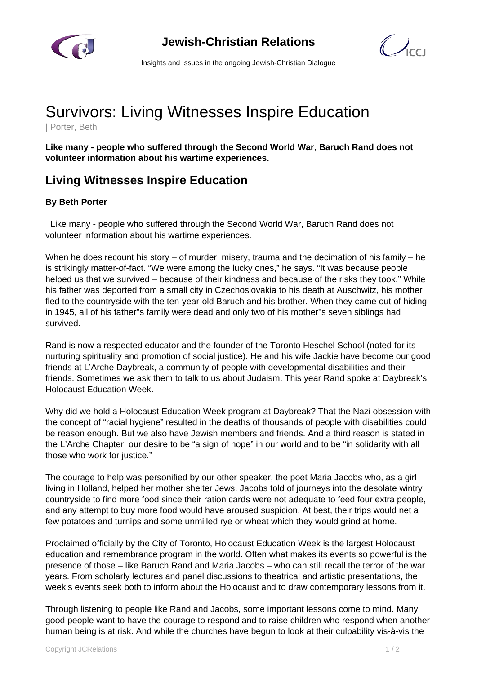



Insights and Issues in the ongoing Jewish-Christian Dialogue

## Survivors: Living Witnesses Inspire Education

| Porter, Beth

**Like many - people who suffered through the Second World War, Baruch Rand does not volunteer information about his wartime experiences.**

## **Living Witnesses Inspire Education**

## **By Beth Porter**

 Like many - people who suffered through the Second World War, Baruch Rand does not volunteer information about his wartime experiences.

When he does recount his story – of murder, misery, trauma and the decimation of his family – he is strikingly matter-of-fact. "We were among the lucky ones," he says. "It was because people helped us that we survived – because of their kindness and because of the risks they took." While his father was deported from a small city in Czechoslovakia to his death at Auschwitz, his mother fled to the countryside with the ten-year-old Baruch and his brother. When they came out of hiding in 1945, all of his father"s family were dead and only two of his mother"s seven siblings had survived.

Rand is now a respected educator and the founder of the Toronto Heschel School (noted for its nurturing spirituality and promotion of social justice). He and his wife Jackie have become our good friends at L'Arche Daybreak, a community of people with developmental disabilities and their friends. Sometimes we ask them to talk to us about Judaism. This year Rand spoke at Daybreak's Holocaust Education Week.

Why did we hold a Holocaust Education Week program at Daybreak? That the Nazi obsession with the concept of "racial hygiene" resulted in the deaths of thousands of people with disabilities could be reason enough. But we also have Jewish members and friends. And a third reason is stated in the L'Arche Chapter: our desire to be "a sign of hope" in our world and to be "in solidarity with all those who work for justice."

The courage to help was personified by our other speaker, the poet Maria Jacobs who, as a girl living in Holland, helped her mother shelter Jews. Jacobs told of journeys into the desolate wintry countryside to find more food since their ration cards were not adequate to feed four extra people, and any attempt to buy more food would have aroused suspicion. At best, their trips would net a few potatoes and turnips and some unmilled rye or wheat which they would grind at home.

Proclaimed officially by the City of Toronto, Holocaust Education Week is the largest Holocaust education and remembrance program in the world. Often what makes its events so powerful is the presence of those – like Baruch Rand and Maria Jacobs – who can still recall the terror of the war years. From scholarly lectures and panel discussions to theatrical and artistic presentations, the week's events seek both to inform about the Holocaust and to draw contemporary lessons from it.

Through listening to people like Rand and Jacobs, some important lessons come to mind. Many good people want to have the courage to respond and to raise children who respond when another human being is at risk. And while the churches have begun to look at their culpability vis-à-vis the